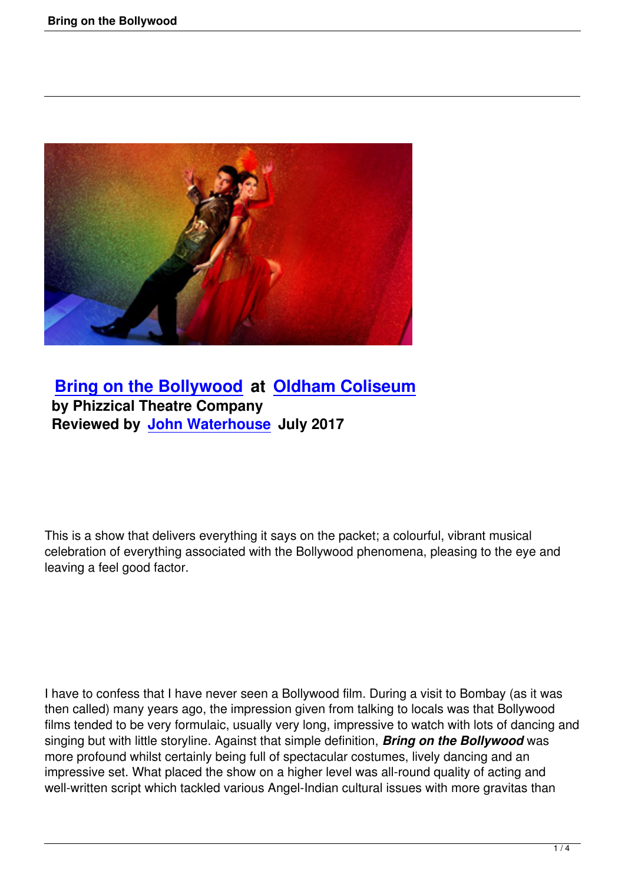

## **Bring on the Bollywood at Oldham Coliseum by Phizzical Theatre Company [Reviewed by John Waterho](bring-on-the-bollywood.html)use [July 2017](http://www.coliseum.org.uk/)**

This is a show that delivers everything it says on the packet; a colourful, vibrant musical celebration of everything associated with the Bollywood phenomena, pleasing to the eye and leaving a feel good factor.

I have to confess that I have never seen a Bollywood film. During a visit to Bombay (as it was then called) many years ago, the impression given from talking to locals was that Bollywood films tended to be very formulaic, usually very long, impressive to watch with lots of dancing and singing but with little storyline. Against that simple definition, *Bring on the Bollywood* was more profound whilst certainly being full of spectacular costumes, lively dancing and an impressive set. What placed the show on a higher level was all-round quality of acting and well-written script which tackled various Angel-Indian cultural issues with more gravitas than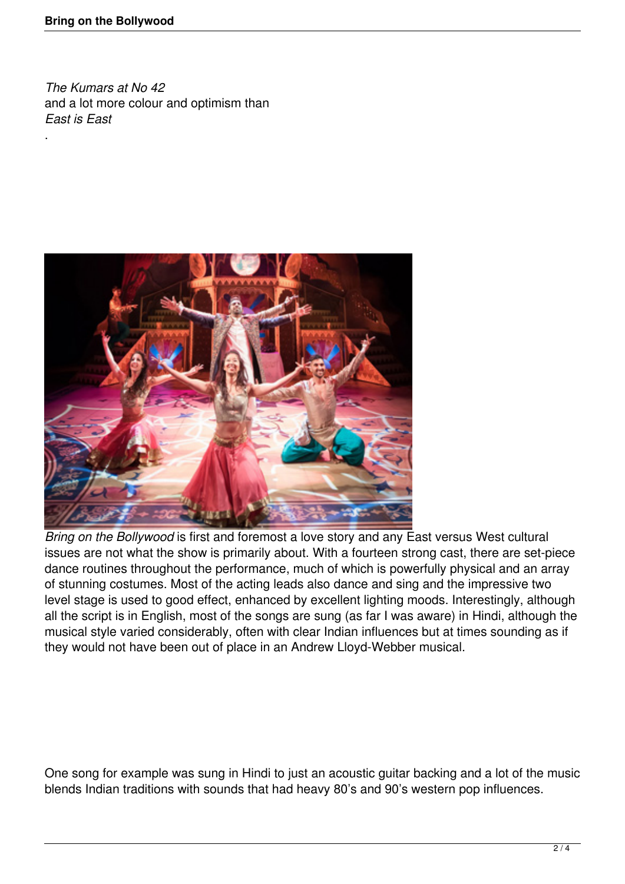.

*The Kumars at No 42* and a lot more colour and optimism than *East is East*



*Bring on the Bollywood* is first and foremost a love story and any East versus West cultural issues are not what the show is primarily about. With a fourteen strong cast, there are set-piece dance routines throughout the performance, much of which is powerfully physical and an array of stunning costumes. Most of the acting leads also dance and sing and the impressive two level stage is used to good effect, enhanced by excellent lighting moods. Interestingly, although all the script is in English, most of the songs are sung (as far I was aware) in Hindi, although the musical style varied considerably, often with clear Indian influences but at times sounding as if they would not have been out of place in an Andrew Lloyd-Webber musical.

One song for example was sung in Hindi to just an acoustic guitar backing and a lot of the music blends Indian traditions with sounds that had heavy 80's and 90's western pop influences.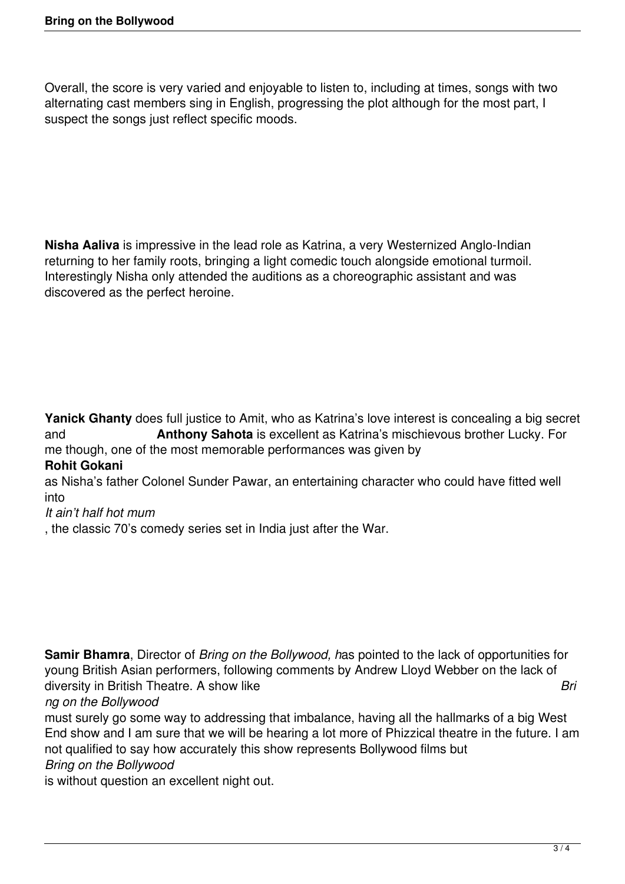Overall, the score is very varied and enjoyable to listen to, including at times, songs with two alternating cast members sing in English, progressing the plot although for the most part, I suspect the songs just reflect specific moods.

**Nisha Aaliva** is impressive in the lead role as Katrina, a very Westernized Anglo-Indian returning to her family roots, bringing a light comedic touch alongside emotional turmoil. Interestingly Nisha only attended the auditions as a choreographic assistant and was discovered as the perfect heroine.

**Yanick Ghanty** does full justice to Amit, who as Katrina's love interest is concealing a big secret and **Anthony Sahota** is excellent as Katrina's mischievous brother Lucky. For me though, one of the most memorable performances was given by

## **Rohit Gokani**

as Nisha's father Colonel Sunder Pawar, an entertaining character who could have fitted well into

## *It ain't half hot mum*

, the classic 70's comedy series set in India just after the War.

**Samir Bhamra**, Director of *Bring on the Bollywood, h*as pointed to the lack of opportunities for young British Asian performers, following comments by Andrew Lloyd Webber on the lack of diversity in British Theatre. A show like **British Struck and Article Contract Contract Contract Contract Contract Contract Contract Contract Contract Contract Contract Contract Contract Contract Contract Contract Contract** *ng on the Bollywood*

must surely go some way to addressing that imbalance, having all the hallmarks of a big West End show and I am sure that we will be hearing a lot more of Phizzical theatre in the future. I am not qualified to say how accurately this show represents Bollywood films but

## *Bring on the Bollywood*

is without question an excellent night out.